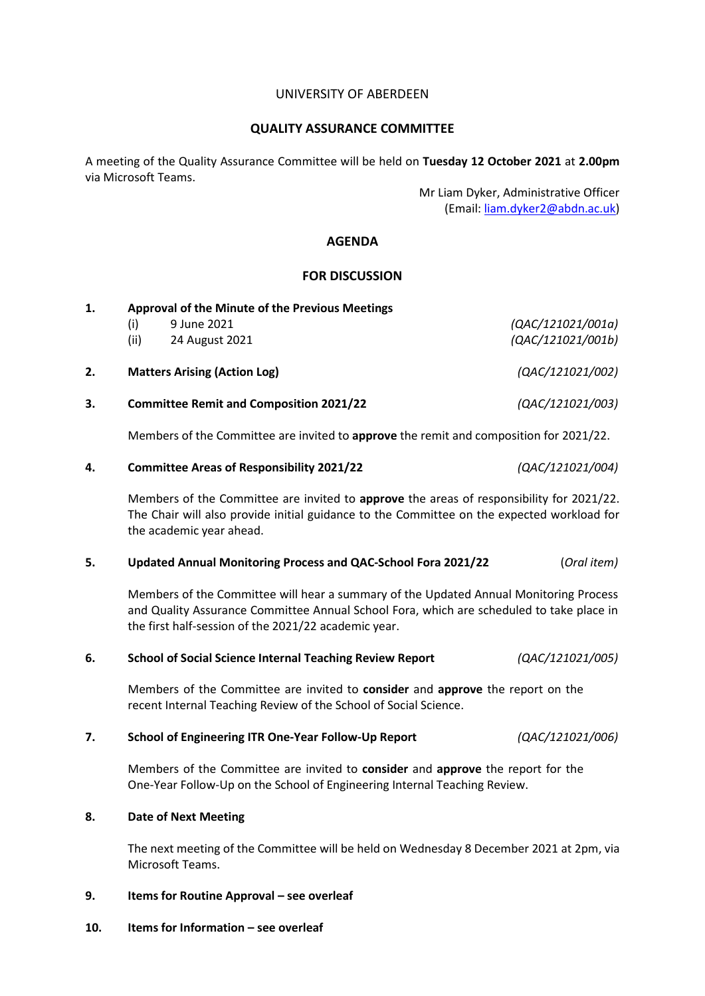## UNIVERSITY OF ABERDEEN

## **QUALITY ASSURANCE COMMITTEE**

A meeting of the Quality Assurance Committee will be held on **Tuesday 12 October 2021** at **2.00pm** via Microsoft Teams.

> Mr Liam Dyker, Administrative Officer (Email[: liam.dyker2@abdn.ac.uk\)](mailto:liam.dyker2@abdn.ac.uk)

# **AGENDA**

# **FOR DISCUSSION**

| 1. | <b>Approval of the Minute of the Previous Meetings</b> |                                     |                   |  |
|----|--------------------------------------------------------|-------------------------------------|-------------------|--|
|    | (i)                                                    | 9 June 2021                         | (QAC/121021/001a) |  |
|    | (ii)                                                   | 24 August 2021                      | (QAC/121021/001b) |  |
| 2. |                                                        | <b>Matters Arising (Action Log)</b> | (QAC/121021/002)  |  |
| 3. | <b>Committee Remit and Composition 2021/22</b>         |                                     | (QAC/121021/003)  |  |

Members of the Committee are invited to **approve** the remit and composition for 2021/22.

|  | <b>Committee Areas of Responsibility 2021/22</b> | (QAC/121021/004) |
|--|--------------------------------------------------|------------------|
|--|--------------------------------------------------|------------------|

Members of the Committee are invited to **approve** the areas of responsibility for 2021/22. The Chair will also provide initial guidance to the Committee on the expected workload for the academic year ahead.

## **5. Updated Annual Monitoring Process and QAC-School Fora 2021/22** (*Oral item)*

Members of the Committee will hear a summary of the Updated Annual Monitoring Process and Quality Assurance Committee Annual School Fora, which are scheduled to take place in the first half-session of the 2021/22 academic year.

## **6. School of Social Science Internal Teaching Review Report** *(QAC/121021/005)*

Members of the Committee are invited to **consider** and **approve** the report on the recent Internal Teaching Review of the School of Social Science.

## **7. School of Engineering ITR One-Year Follow-Up Report** *(QAC/121021/006)*

Members of the Committee are invited to **consider** and **approve** the report for the One-Year Follow-Up on the School of Engineering Internal Teaching Review.

## **8. Date of Next Meeting**

The next meeting of the Committee will be held on Wednesday 8 December 2021 at 2pm, via Microsoft Teams.

## **9. Items for Routine Approval – see overleaf**

**10. Items for Information – see overleaf**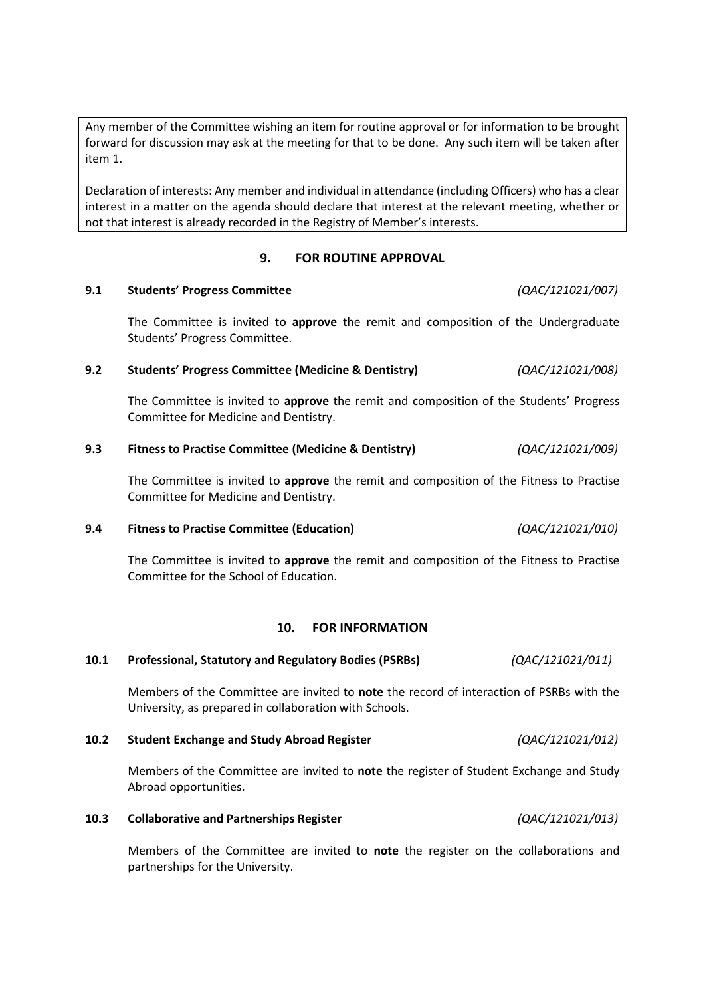Any member of the Committee wishing an item for routine approval or for information to be brought forward for discussion may ask at the meeting for that to be done. Any such item will be taken after item 1.

Declaration of interests: Any member and individual in attendance (including Officers) who has a clear interest in a matter on the agenda should declare that interest at the relevant meeting, whether or not that interest is already recorded in the Registry of Member's interests.

# **9. FOR ROUTINE APPROVAL**

# **9.1 Students' Progress Committee** *(QAC/121021/007)*

The Committee is invited to **approve** the remit and composition of the Undergraduate Students' Progress Committee.

# **9.2 Students' Progress Committee (Medicine & Dentistry)** *(QAC/121021/008)*

The Committee is invited to **approve** the remit and composition of the Students' Progress Committee for Medicine and Dentistry.

# **9.3 Fitness to Practise Committee (Medicine & Dentistry)** *(QAC/121021/009)*

The Committee is invited to **approve** the remit and composition of the Fitness to Practise Committee for Medicine and Dentistry.

## **9.4 Fitness to Practise Committee (Education)** *(QAC/121021/010)*

The Committee is invited to **approve** the remit and composition of the Fitness to Practise Committee for the School of Education.

## **10. FOR INFORMATION**

## **10.1 Professional, Statutory and Regulatory Bodies (PSRBs)** *(QAC/121021/011)*

Members of the Committee are invited to **note** the record of interaction of PSRBs with the University, as prepared in collaboration with Schools.

## **10.2 Student Exchange and Study Abroad Register** *(QAC/121021/012)*

Members of the Committee are invited to **note** the register of Student Exchange and Study Abroad opportunities.

## **10.3 Collaborative and Partnerships Register** *(QAC/121021/013)*

Members of the Committee are invited to **note** the register on the collaborations and partnerships for the University.